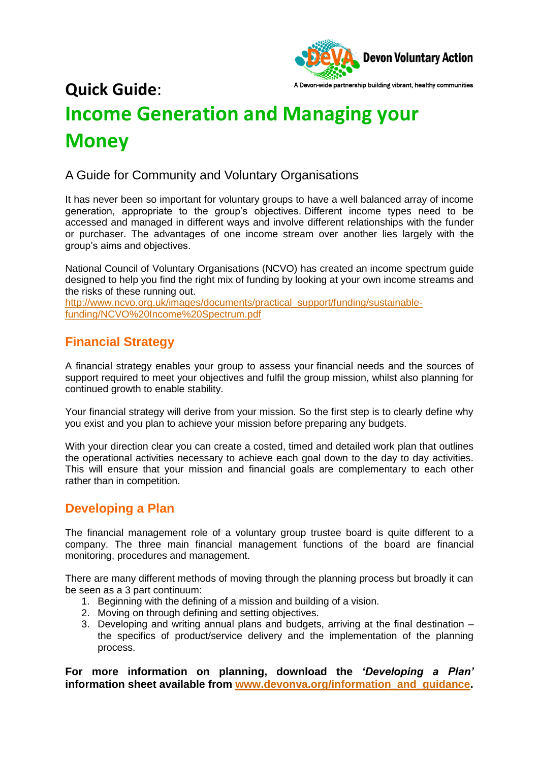

# A Devon-wide partnership building vibrant, healthy communities **Quick Guide**: **Income Generation and Managing your Money**

#### A Guide for Community and Voluntary Organisations

It has never been so important for voluntary groups to have a well balanced array of income generation, appropriate to the group's objectives. Different income types need to be accessed and managed in different ways and involve different relationships with the funder or purchaser. The advantages of one income stream over another lies largely with the group's aims and objectives.

National Council of Voluntary Organisations (NCVO) has created an income spectrum guide designed to help you find the right mix of funding by looking at your own income streams and the risks of these running out.

[http://www.ncvo.org.uk/images/documents/practical\\_support/funding/sustainable](http://www.ncvo.org.uk/images/documents/practical_support/funding/sustainable-funding/NCVO%20Income%20Spectrum.pdf)[funding/NCVO%20Income%20Spectrum.pdf](http://www.ncvo.org.uk/images/documents/practical_support/funding/sustainable-funding/NCVO%20Income%20Spectrum.pdf)

### **Financial Strategy**

A financial strategy enables your group to assess your financial needs and the sources of support required to meet your objectives and fulfil the group mission, whilst also planning for continued growth to enable stability.

Your financial strategy will derive from your mission. So the first step is to clearly define why you exist and you plan to achieve your mission before preparing any budgets.

With your direction clear you can create a costed, timed and detailed work plan that outlines the operational activities necessary to achieve each goal down to the day to day activities. This will ensure that your mission and financial goals are complementary to each other rather than in competition.

#### **Developing a Plan**

The financial management role of a voluntary group trustee board is quite different to a company. The three main financial management functions of the board are financial monitoring, procedures and management.

There are many different methods of moving through the planning process but broadly it can be seen as a 3 part continuum:

- 1. Beginning with the defining of a mission and building of a vision.
- 2. Moving on through defining and setting objectives.
- 3. Developing and writing annual plans and budgets, arriving at the final destination the specifics of product/service delivery and the implementation of the planning process.

**For more information on planning, download the** *'Developing a Plan'*  **information sheet available from [www.devonva.org/information\\_and\\_guidance.](http://www.devonva.org/information_and_guidance)**